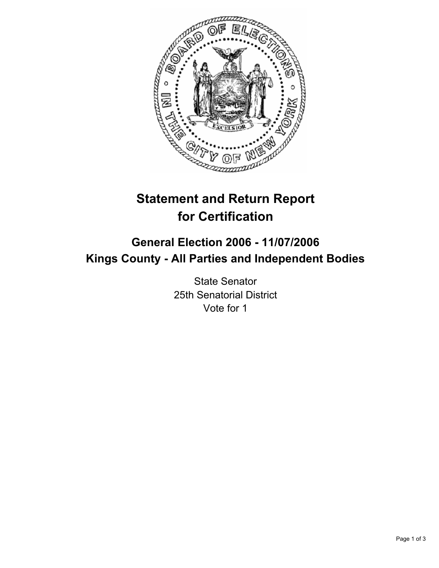

# **Statement and Return Report for Certification**

## **General Election 2006 - 11/07/2006 Kings County - All Parties and Independent Bodies**

State Senator 25th Senatorial District Vote for 1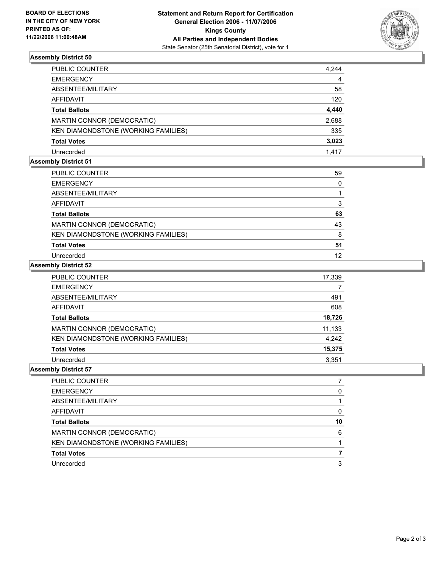

### **Assembly District 50**

| PUBLIC COUNTER                      | 4,244 |
|-------------------------------------|-------|
| EMERGENCY                           | 4     |
| ABSENTEE/MILITARY                   | 58    |
| AFFIDAVIT                           | 120   |
| Total Ballots                       | 4,440 |
| MARTIN CONNOR (DEMOCRATIC)          | 2,688 |
| KEN DIAMONDSTONE (WORKING FAMILIES) | 335   |
| Total Votes                         | 3,023 |
| Unrecorded                          | 1,417 |

#### **Assembly District 51**

| PUBLIC COUNTER                      | 59 |
|-------------------------------------|----|
| <b>EMERGENCY</b>                    |    |
| ABSENTEE/MILITARY                   |    |
| <b>AFFIDAVIT</b>                    |    |
| <b>Total Ballots</b>                | 63 |
| MARTIN CONNOR (DEMOCRATIC)          | 43 |
| KEN DIAMONDSTONE (WORKING FAMILIES) | 8  |
| <b>Total Votes</b>                  | 51 |
| Unrecorded                          | 12 |

#### **Assembly District 52**

| PUBLIC COUNTER                      | 17,339 |
|-------------------------------------|--------|
| <b>EMERGENCY</b>                    |        |
| ABSENTEE/MILITARY                   | 491    |
| <b>AFFIDAVIT</b>                    | 608    |
| <b>Total Ballots</b>                | 18,726 |
| MARTIN CONNOR (DEMOCRATIC)          | 11,133 |
| KEN DIAMONDSTONE (WORKING FAMILIES) | 4,242  |
| <b>Total Votes</b>                  | 15,375 |
| Unrecorded                          | 3.351  |

#### **Assembly District 57**

| PUBLIC COUNTER                      |    |
|-------------------------------------|----|
| <b>EMERGENCY</b>                    |    |
| ABSENTEE/MILITARY                   |    |
| AFFIDAVIT                           |    |
| <b>Total Ballots</b>                | 10 |
| MARTIN CONNOR (DEMOCRATIC)          | 6  |
| KEN DIAMONDSTONE (WORKING FAMILIES) |    |
| <b>Total Votes</b>                  |    |
| Unrecorded                          |    |